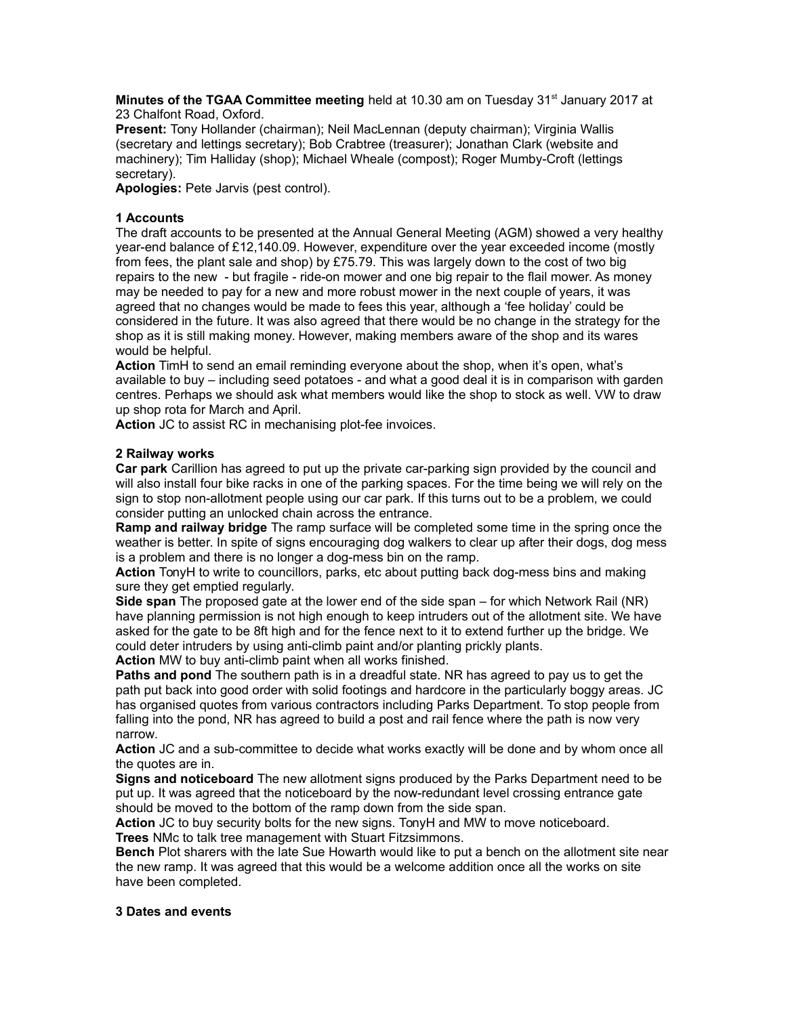**Minutes of the TGAA Committee meeting** held at 10.30 am on Tuesday 31<sup>st</sup> January 2017 at 23 Chalfont Road, Oxford.

**Present:** Tony Hollander (chairman); Neil MacLennan (deputy chairman); Virginia Wallis (secretary and lettings secretary); Bob Crabtree (treasurer); Jonathan Clark (website and machinery); Tim Halliday (shop); Michael Wheale (compost); Roger Mumby-Croft (lettings secretary).

**Apologies:** Pete Jarvis (pest control).

## **1 Accounts**

The draft accounts to be presented at the Annual General Meeting (AGM) showed a very healthy year-end balance of £12,140.09. However, expenditure over the year exceeded income (mostly from fees, the plant sale and shop) by  $£75.79$ . This was largely down to the cost of two big repairs to the new - but fragile - ride-on mower and one big repair to the flail mower. As money may be needed to pay for a new and more robust mower in the next couple of years, it was agreed that no changes would be made to fees this year, although a 'fee holiday' could be considered in the future. It was also agreed that there would be no change in the strategy for the shop as it is still making money. However, making members aware of the shop and its wares would be helpful.

**Action** TimH to send an email reminding everyone about the shop, when it's open, what's available to buy – including seed potatoes - and what a good deal it is in comparison with garden centres. Perhaps we should ask what members would like the shop to stock as well. VW to draw up shop rota for March and April.

**Action** JC to assist RC in mechanising plot-fee invoices.

# **2 Railway works**

**Car park** Carillion has agreed to put up the private car-parking sign provided by the council and will also install four bike racks in one of the parking spaces. For the time being we will rely on the sign to stop non-allotment people using our car park. If this turns out to be a problem, we could consider putting an unlocked chain across the entrance.

**Ramp and railway bridge** The ramp surface will be completed some time in the spring once the weather is better. In spite of signs encouraging dog walkers to clear up after their dogs, dog mess is a problem and there is no longer a dog-mess bin on the ramp.

**Action** TonyH to write to councillors, parks, etc about putting back dog-mess bins and making sure they get emptied regularly.

**Side span** The proposed gate at the lower end of the side span – for which Network Rail (NR) have planning permission is not high enough to keep intruders out of the allotment site. We have asked for the gate to be 8ft high and for the fence next to it to extend further up the bridge. We could deter intruders by using anti-climb paint and/or planting prickly plants.

**Action** MW to buy anti-climb paint when all works finished.

**Paths and pond** The southern path is in a dreadful state. NR has agreed to pay us to get the path put back into good order with solid footings and hardcore in the particularly boggy areas. JC has organised quotes from various contractors including Parks Department. To stop people from falling into the pond, NR has agreed to build a post and rail fence where the path is now very narrow.

**Action** JC and a sub-committee to decide what works exactly will be done and by whom once all the quotes are in.

**Signs and noticeboard** The new allotment signs produced by the Parks Department need to be put up. It was agreed that the noticeboard by the now-redundant level crossing entrance gate should be moved to the bottom of the ramp down from the side span.

**Action** JC to buy security bolts for the new signs. TonyH and MW to move noticeboard. **Trees** NMc to talk tree management with Stuart Fitzsimmons.

**Bench** Plot sharers with the late Sue Howarth would like to put a bench on the allotment site near the new ramp. It was agreed that this would be a welcome addition once all the works on site have been completed.

### **3 Dates and events**